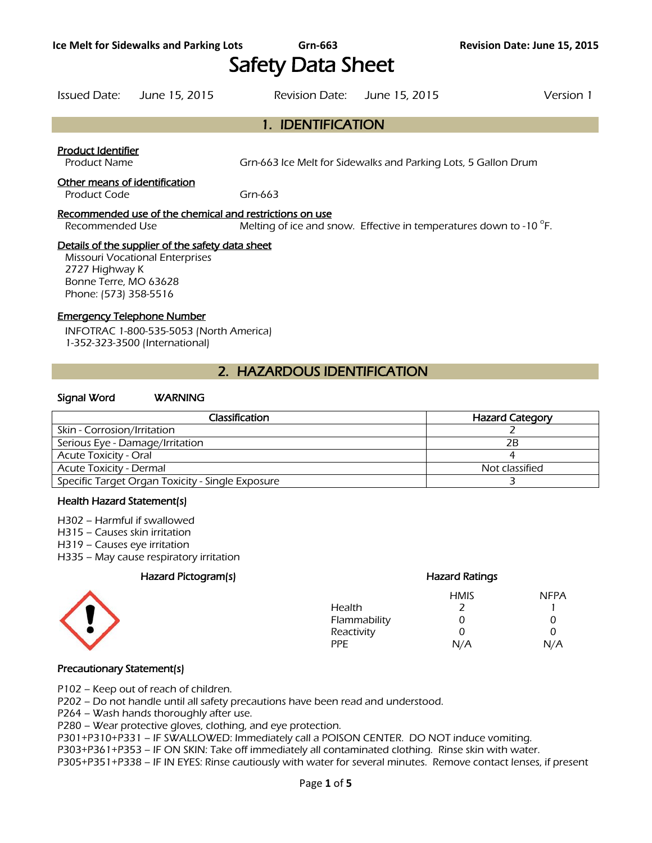# Safety Data Sheet

### Issued Date: June 15, 2015 Revision Date: June 15, 2015 Version 1

1. IDENTIFICATION

### Product Identifier

Product Name Grn-663 Ice Melt for Sidewalks and Parking Lots, 5 Gallon Drum

#### Other means of identification

Product Code Grn-663

#### Recommended use of the chemical and restrictions on use

Recommended Use Melting of ice and snow. Effective in temperatures down to -10 $\degree$ F.

#### Details of the supplier of the safety data sheet

Missouri Vocational Enterprises 2727 Highway K Bonne Terre, MO 63628 Phone: (573) 358-5516

### Emergency Telephone Number

INFOTRAC 1-800-535-5053 (North America) 1-352-323-3500 (International)

### 2. HAZARDOUS IDENTIFICATION

#### Signal Word WARNING

| Classification                                   | <b>Hazard Category</b> |
|--------------------------------------------------|------------------------|
| Skin - Corrosion/Irritation                      |                        |
| Serious Eye - Damage/Irritation                  | 2B                     |
| <b>Acute Toxicity - Oral</b>                     |                        |
| <b>Acute Toxicity - Dermal</b>                   | Not classified         |
| Specific Target Organ Toxicity - Single Exposure |                        |
|                                                  |                        |

#### Health Hazard Statement(s)

H302 – Harmful if swallowed

- H315 Causes skin irritation
- H319 Causes eye irritation
- H335 May cause respiratory irritation

### Hazard Pictogram(s) Hazard Ratings



## HMIS NFPA Health 2 1

| .            |               |     |
|--------------|---------------|-----|
| Flammability | $\mathcal{L}$ |     |
| Reactivity   |               |     |
| PPE.         | N/A           | N/A |
|              |               |     |

### Precautionary Statement(s)

P102 – Keep out of reach of children.

P202 – Do not handle until all safety precautions have been read and understood.

P264 – Wash hands thoroughly after use.

P280 – Wear protective gloves, clothing, and eye protection.

P301+P310+P331 – IF SWALLOWED: Immediately call a POISON CENTER. DO NOT induce vomiting.

P303+P361+P353 – IF ON SKIN: Take off immediately all contaminated clothing. Rinse skin with water.

P305+P351+P338 – IF IN EYES: Rinse cautiously with water for several minutes. Remove contact lenses, if present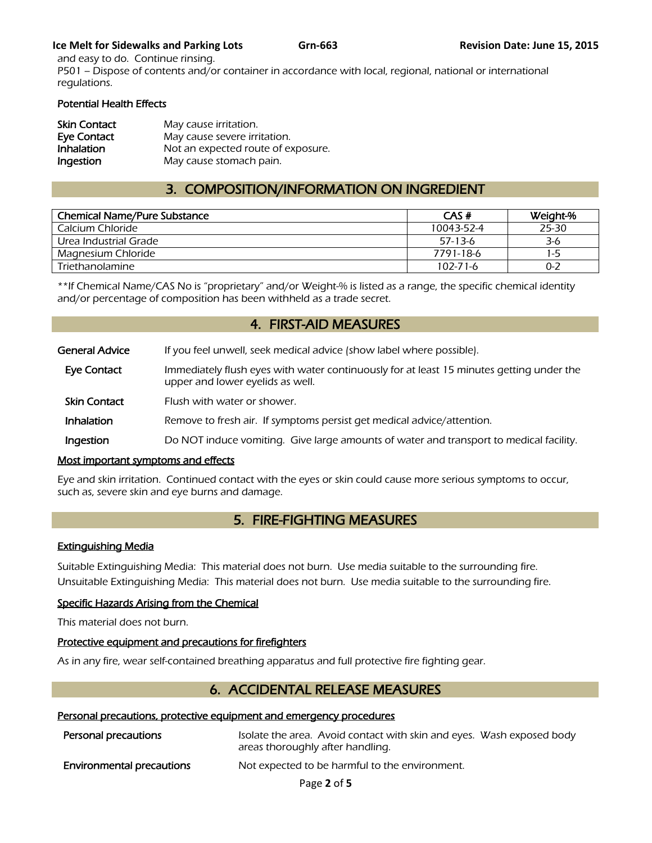### **Ice Melt for Sidewalks and Parking Lots Grn-663 Book Constructs Grn-663 Revision Date:** June 15, 2015

and easy to do. Continue rinsing. P501 – Dispose of contents and/or container in accordance with local, regional, national or international regulations.

### Potential Health Effects

| <b>Skin Contact</b> | May cause irritation.              |
|---------------------|------------------------------------|
| Eye Contact         | May cause severe irritation.       |
| Inhalation          | Not an expected route of exposure. |
| Ingestion           | May cause stomach pain.            |

### 3. COMPOSITION/INFORMATION ON INGREDIENT

| <b>Chemical Name/Pure Substance</b> | CAS#           | Weight-% |
|-------------------------------------|----------------|----------|
| Calcium Chloride                    | 10043-52-4     | 25-30    |
| Urea Industrial Grade               | $57-13-6$      | 3-6      |
| Magnesium Chloride                  | 7791-18-6      | 1-5      |
| Triethanolamine                     | $102 - 71 - 6$ | $0 - 2$  |
|                                     |                |          |

\*\*If Chemical Name/CAS No is "proprietary" and/or Weight-% is listed as a range, the specific chemical identity and/or percentage of composition has been withheld as a trade secret.

### 4. FIRST-AID MEASURES

| <b>General Advice</b> | If you feel unwell, seek medical advice (show label where possible).                                                         |
|-----------------------|------------------------------------------------------------------------------------------------------------------------------|
| Eye Contact           | Immediately flush eyes with water continuously for at least 15 minutes getting under the<br>upper and lower eyelids as well. |
| <b>Skin Contact</b>   | Flush with water or shower.                                                                                                  |
| Inhalation            | Remove to fresh air. If symptoms persist get medical advice/attention.                                                       |
| Ingestion             | Do NOT induce vomiting. Give large amounts of water and transport to medical facility.                                       |

### Most important symptoms and effects

Eye and skin irritation. Continued contact with the eyes or skin could cause more serious symptoms to occur, such as, severe skin and eye burns and damage.

### 5. FIRE-FIGHTING MEASURES

### Extinguishing Media

Suitable Extinguishing Media: This material does not burn. Use media suitable to the surrounding fire. Unsuitable Extinguishing Media: This material does not burn. Use media suitable to the surrounding fire.

### Specific Hazards Arising from the Chemical

This material does not burn.

### Protective equipment and precautions for firefighters

As in any fire, wear self-contained breathing apparatus and full protective fire fighting gear.

### 6. ACCIDENTAL RELEASE MEASURES

### Personal precautions, protective equipment and emergency procedures

| Personal precautions             | Isolate the area. Avoid contact with skin and eyes. Wash exposed body<br>areas thoroughly after handling. |
|----------------------------------|-----------------------------------------------------------------------------------------------------------|
| <b>Environmental precautions</b> | Not expected to be harmful to the environment.                                                            |

Page **2** of **5**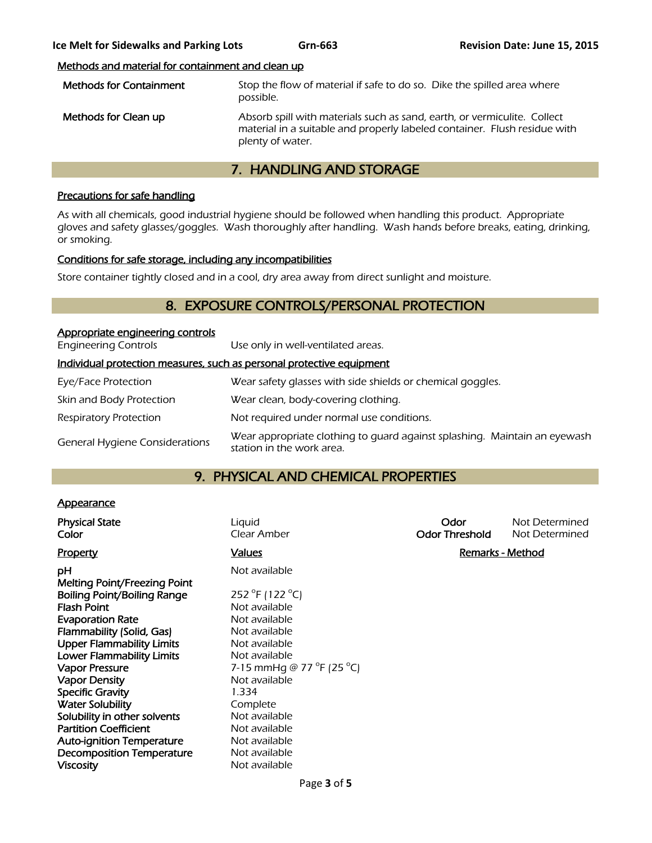### Methods and material for containment and clean up

| <b>Methods for Containment</b> | Stop the flow of material if safe to do so. Dike the spilled area where<br>possible.                                                                                      |
|--------------------------------|---------------------------------------------------------------------------------------------------------------------------------------------------------------------------|
| Methods for Clean up           | Absorb spill with materials such as sand, earth, or vermiculite. Collect<br>material in a suitable and properly labeled container. Flush residue with<br>plenty of water. |

### 7. HANDLING AND STORAGE

### Precautions for safe handling

As with all chemicals, good industrial hygiene should be followed when handling this product. Appropriate gloves and safety glasses/goggles. Wash thoroughly after handling. Wash hands before breaks, eating, drinking, or smoking.

### Conditions for safe storage, including any incompatibilities

Store container tightly closed and in a cool, dry area away from direct sunlight and moisture.

### 8. EXPOSURE CONTROLS/PERSONAL PROTECTION

| Appropriate engineering controls                                      |                                                                                                        |  |
|-----------------------------------------------------------------------|--------------------------------------------------------------------------------------------------------|--|
| <b>Engineering Controls</b>                                           | Use only in well-ventilated areas.                                                                     |  |
| Individual protection measures, such as personal protective equipment |                                                                                                        |  |
| Eye/Face Protection                                                   | Wear safety glasses with side shields or chemical goggles.                                             |  |
| Skin and Body Protection                                              | Wear clean, body-covering clothing.                                                                    |  |
| <b>Respiratory Protection</b>                                         | Not required under normal use conditions.                                                              |  |
| <b>General Hygiene Considerations</b>                                 | Wear appropriate clothing to quard against splashing. Maintain an eyewash<br>station in the work area. |  |

### 9. PHYSICAL AND CHEMICAL PROPERTIES

### **Appearance**

| <b>Physical State</b><br>Color     | Liquid<br>Clear Amber     | Odor<br><b>Odor Threshold</b> | Not Determined<br>Not Determined |
|------------------------------------|---------------------------|-------------------------------|----------------------------------|
| <b>Property</b>                    | <b>Values</b>             | <b>Remarks - Method</b>       |                                  |
| рH<br>Melting Point/Freezing Point | Not available             |                               |                                  |
| <b>Boiling Point/Boiling Range</b> | 252 °F (122 °C)           |                               |                                  |
| <b>Flash Point</b>                 | Not available             |                               |                                  |
| <b>Evaporation Rate</b>            | Not available             |                               |                                  |
| Flammability (Solid, Gas)          | Not available             |                               |                                  |
| <b>Upper Flammability Limits</b>   | Not available             |                               |                                  |
| <b>Lower Flammability Limits</b>   | Not available             |                               |                                  |
| <b>Vapor Pressure</b>              | 7-15 mmHg @ 77 °F (25 °C) |                               |                                  |
| <b>Vapor Density</b>               | Not available             |                               |                                  |
| <b>Specific Gravity</b>            | 1.334                     |                               |                                  |
| <b>Water Solubility</b>            | Complete                  |                               |                                  |
| Solubility in other solvents       | Not available             |                               |                                  |
| <b>Partition Coefficient</b>       | Not available             |                               |                                  |
| <b>Auto-ignition Temperature</b>   | Not available             |                               |                                  |
| <b>Decomposition Temperature</b>   | Not available             |                               |                                  |
| <b>Viscosity</b>                   | Not available             |                               |                                  |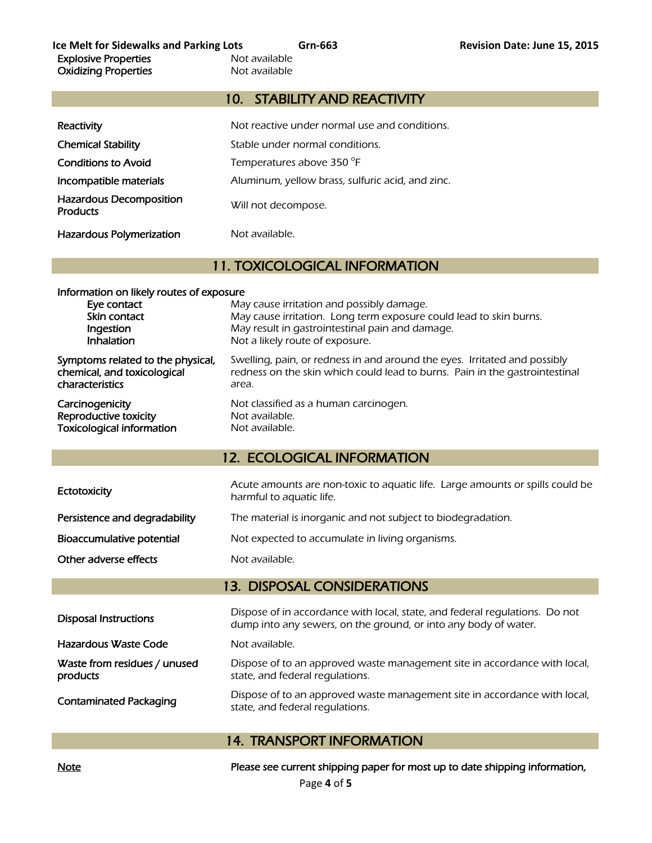### 10. STABILITY AND REACTIVITY

| Reactivity                                        | Not reactive under normal use and conditions.    |
|---------------------------------------------------|--------------------------------------------------|
| <b>Chemical Stability</b>                         | Stable under normal conditions.                  |
| <b>Conditions to Avoid</b>                        | Temperatures above 350 °F                        |
| Incompatible materials                            | Aluminum, yellow brass, sulfuric acid, and zinc. |
| <b>Hazardous Decomposition</b><br><b>Products</b> | Will not decompose.                              |
| <b>Hazardous Polymerization</b>                   | Not available.                                   |

### 11. TOXICOLOGICAL INFORMATION

| Information on likely routes of exposure<br>Eye contact<br>Skin contact<br>Ingestion<br><b>Inhalation</b> | May cause irritation and possibly damage.<br>May cause irritation. Long term exposure could lead to skin burns.<br>May result in gastrointestinal pain and damage.<br>Not a likely route of exposure. |
|-----------------------------------------------------------------------------------------------------------|-------------------------------------------------------------------------------------------------------------------------------------------------------------------------------------------------------|
| Symptoms related to the physical,                                                                         | Swelling, pain, or redness in and around the eyes. Irritated and possibly                                                                                                                             |
| chemical, and toxicological                                                                               | redness on the skin which could lead to burns. Pain in the gastrointestinal                                                                                                                           |
| characteristics                                                                                           | area.                                                                                                                                                                                                 |
| Carcinogenicity                                                                                           | Not classified as a human carcinogen.                                                                                                                                                                 |
| Reproductive toxicity                                                                                     | Not available.                                                                                                                                                                                        |
| <b>Toxicological information</b>                                                                          | Not available.                                                                                                                                                                                        |

### 12. ECOLOGICAL INFORMATION

| Ectotoxicity                  | Acute amounts are non-toxic to aquatic life. Large amounts or spills could be<br>harmful to aquatic life. |
|-------------------------------|-----------------------------------------------------------------------------------------------------------|
| Persistence and degradability | The material is inorganic and not subject to biodegradation.                                              |
| Bioaccumulative potential     | Not expected to accumulate in living organisms.                                                           |
| Other adverse effects         | Not available.                                                                                            |

### 13. DISPOSAL CONSIDERATIONS

| <b>Disposal Instructions</b>             | Dispose of in accordance with local, state, and federal regulations. Do not<br>dump into any sewers, on the ground, or into any body of water. |
|------------------------------------------|------------------------------------------------------------------------------------------------------------------------------------------------|
| Hazardous Waste Code                     | Not available.                                                                                                                                 |
| Waste from residues / unused<br>products | Dispose of to an approved waste management site in accordance with local,<br>state, and federal regulations.                                   |
| <b>Contaminated Packaging</b>            | Dispose of to an approved waste management site in accordance with local,<br>state, and federal regulations.                                   |

### 14. TRANSPORT INFORMATION

Note Note **Please see current shipping paper for most up to date shipping information**,